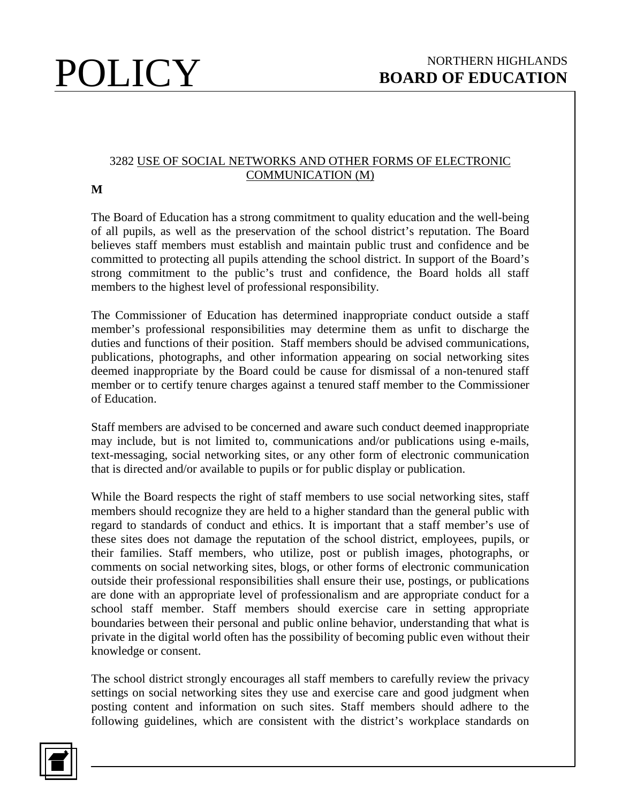## 3282 USE OF SOCIAL NETWORKS AND OTHER FORMS OF ELECTRONIC COMMUNICATION (M)

**M**

The Board of Education has a strong commitment to quality education and the well-being of all pupils, as well as the preservation of the school district's reputation. The Board believes staff members must establish and maintain public trust and confidence and be committed to protecting all pupils attending the school district. In support of the Board's strong commitment to the public's trust and confidence, the Board holds all staff members to the highest level of professional responsibility.

The Commissioner of Education has determined inappropriate conduct outside a staff member's professional responsibilities may determine them as unfit to discharge the duties and functions of their position. Staff members should be advised communications, publications, photographs, and other information appearing on social networking sites deemed inappropriate by the Board could be cause for dismissal of a non-tenured staff member or to certify tenure charges against a tenured staff member to the Commissioner of Education.

Staff members are advised to be concerned and aware such conduct deemed inappropriate may include, but is not limited to, communications and/or publications using e-mails, text-messaging, social networking sites, or any other form of electronic communication that is directed and/or available to pupils or for public display or publication.

While the Board respects the right of staff members to use social networking sites, staff members should recognize they are held to a higher standard than the general public with regard to standards of conduct and ethics. It is important that a staff member's use of these sites does not damage the reputation of the school district, employees, pupils, or their families. Staff members, who utilize, post or publish images, photographs, or comments on social networking sites, blogs, or other forms of electronic communication outside their professional responsibilities shall ensure their use, postings, or publications are done with an appropriate level of professionalism and are appropriate conduct for a school staff member. Staff members should exercise care in setting appropriate boundaries between their personal and public online behavior, understanding that what is private in the digital world often has the possibility of becoming public even without their knowledge or consent.

The school district strongly encourages all staff members to carefully review the privacy settings on social networking sites they use and exercise care and good judgment when posting content and information on such sites. Staff members should adhere to the following guidelines, which are consistent with the district's workplace standards on

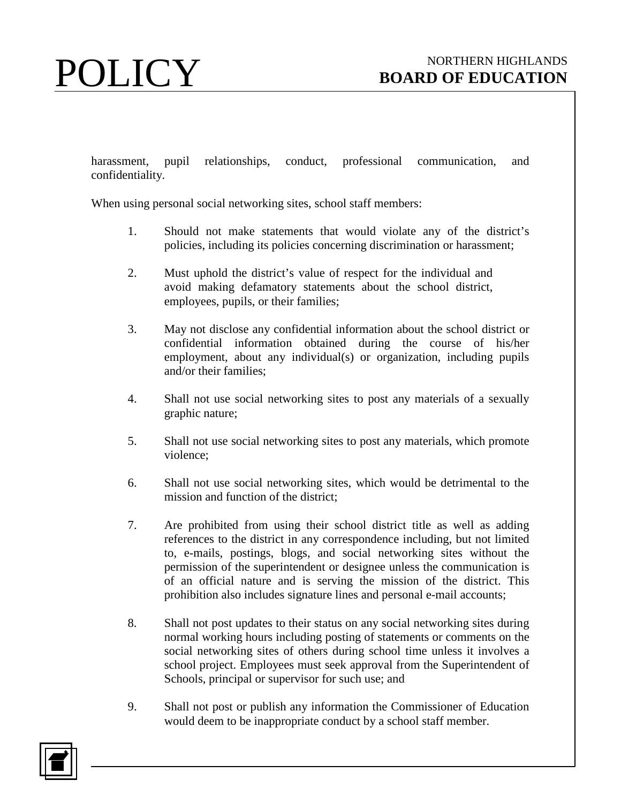harassment, pupil relationships, conduct, professional communication, and confidentiality.

When using personal social networking sites, school staff members:

- 1. Should not make statements that would violate any of the district's policies, including its policies concerning discrimination or harassment;
- 2. Must uphold the district's value of respect for the individual and avoid making defamatory statements about the school district, employees, pupils, or their families;
- 3. May not disclose any confidential information about the school district or confidential information obtained during the course of his/her employment, about any individual(s) or organization, including pupils and/or their families;
- 4. Shall not use social networking sites to post any materials of a sexually graphic nature;
- 5. Shall not use social networking sites to post any materials, which promote violence;
- 6. Shall not use social networking sites, which would be detrimental to the mission and function of the district;
- 7. Are prohibited from using their school district title as well as adding references to the district in any correspondence including, but not limited to, e-mails, postings, blogs, and social networking sites without the permission of the superintendent or designee unless the communication is of an official nature and is serving the mission of the district. This prohibition also includes signature lines and personal e-mail accounts;
- 8. Shall not post updates to their status on any social networking sites during normal working hours including posting of statements or comments on the social networking sites of others during school time unless it involves a school project. Employees must seek approval from the Superintendent of Schools, principal or supervisor for such use; and
- 9. Shall not post or publish any information the Commissioner of Education would deem to be inappropriate conduct by a school staff member.

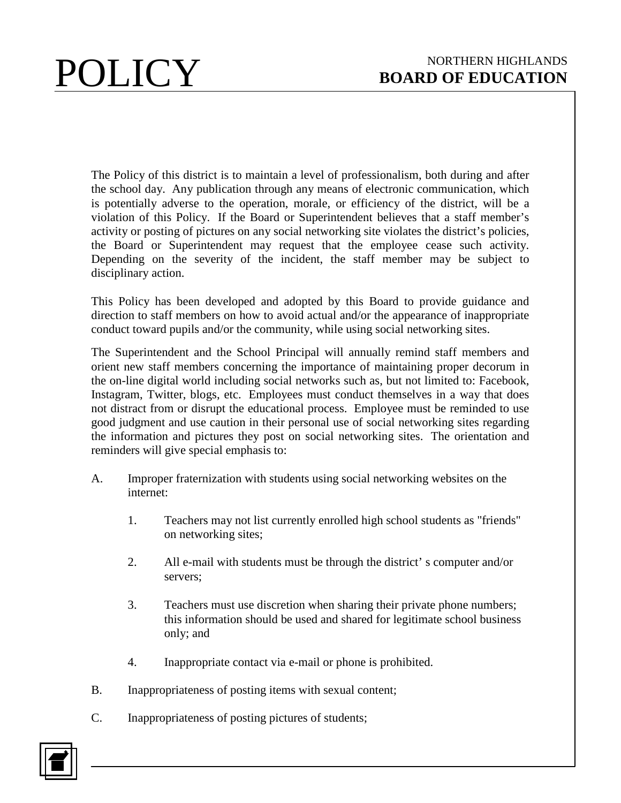The Policy of this district is to maintain a level of professionalism, both during and after the school day. Any publication through any means of electronic communication, which is potentially adverse to the operation, morale, or efficiency of the district, will be a violation of this Policy. If the Board or Superintendent believes that a staff member's activity or posting of pictures on any social networking site violates the district's policies, the Board or Superintendent may request that the employee cease such activity. Depending on the severity of the incident, the staff member may be subject to disciplinary action.

This Policy has been developed and adopted by this Board to provide guidance and direction to staff members on how to avoid actual and/or the appearance of inappropriate conduct toward pupils and/or the community, while using social networking sites.

The Superintendent and the School Principal will annually remind staff members and orient new staff members concerning the importance of maintaining proper decorum in the on-line digital world including social networks such as, but not limited to: Facebook, Instagram, Twitter, blogs, etc. Employees must conduct themselves in a way that does not distract from or disrupt the educational process. Employee must be reminded to use good judgment and use caution in their personal use of social networking sites regarding the information and pictures they post on social networking sites. The orientation and reminders will give special emphasis to:

- A. Improper fraternization with students using social networking websites on the internet:
	- 1. Teachers may not list currently enrolled high school students as "friends" on networking sites;
	- 2. All e-mail with students must be through the district' s computer and/or servers;
	- 3. Teachers must use discretion when sharing their private phone numbers; this information should be used and shared for legitimate school business only; and
	- 4. Inappropriate contact via e-mail or phone is prohibited.
- B. Inappropriateness of posting items with sexual content;
- C. Inappropriateness of posting pictures of students;

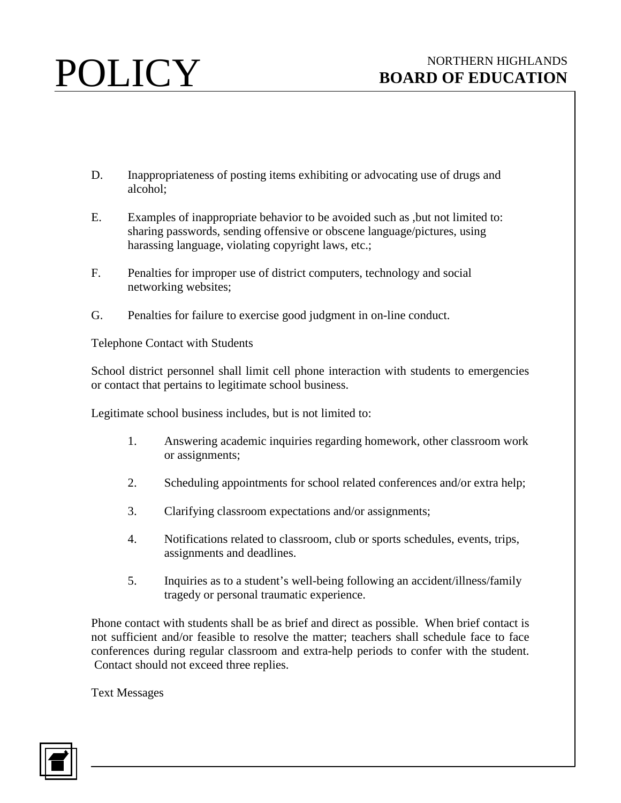- D. Inappropriateness of posting items exhibiting or advocating use of drugs and alcohol;
- E. Examples of inappropriate behavior to be avoided such as ,but not limited to: sharing passwords, sending offensive or obscene language/pictures, using harassing language, violating copyright laws, etc.;
- F. Penalties for improper use of district computers, technology and social networking websites;
- G. Penalties for failure to exercise good judgment in on-line conduct.

Telephone Contact with Students

School district personnel shall limit cell phone interaction with students to emergencies or contact that pertains to legitimate school business.

Legitimate school business includes, but is not limited to:

- 1. Answering academic inquiries regarding homework, other classroom work or assignments;
- 2. Scheduling appointments for school related conferences and/or extra help;
- 3. Clarifying classroom expectations and/or assignments;
- 4. Notifications related to classroom, club or sports schedules, events, trips, assignments and deadlines.
- 5. Inquiries as to a student's well-being following an accident/illness/family tragedy or personal traumatic experience.

Phone contact with students shall be as brief and direct as possible. When brief contact is not sufficient and/or feasible to resolve the matter; teachers shall schedule face to face conferences during regular classroom and extra-help periods to confer with the student. Contact should not exceed three replies.

Text Messages

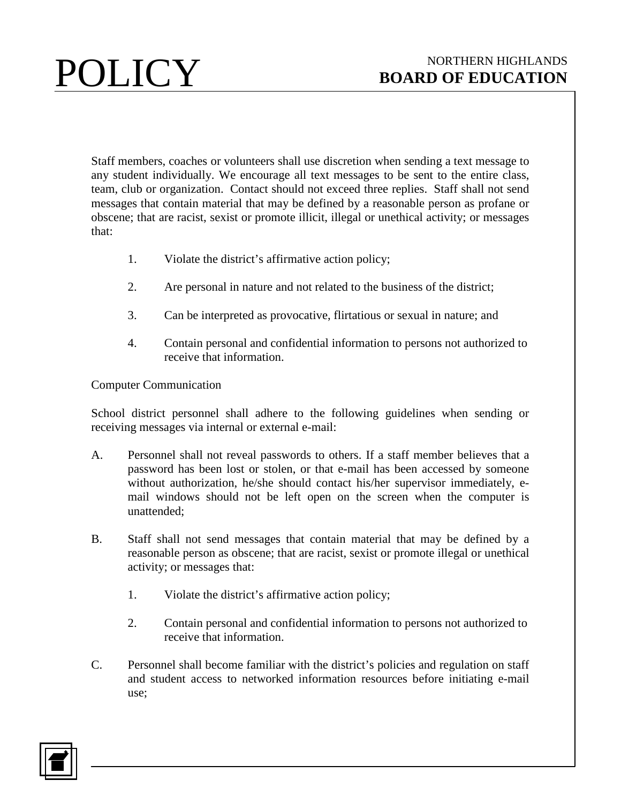Staff members, coaches or volunteers shall use discretion when sending a text message to any student individually. We encourage all text messages to be sent to the entire class, team, club or organization. Contact should not exceed three replies. Staff shall not send messages that contain material that may be defined by a reasonable person as profane or obscene; that are racist, sexist or promote illicit, illegal or unethical activity; or messages that:

- 1. Violate the district's affirmative action policy;
- 2. Are personal in nature and not related to the business of the district;
- 3. Can be interpreted as provocative, flirtatious or sexual in nature; and
- 4. Contain personal and confidential information to persons not authorized to receive that information.

Computer Communication

School district personnel shall adhere to the following guidelines when sending or receiving messages via internal or external e-mail:

- A. Personnel shall not reveal passwords to others. If a staff member believes that a password has been lost or stolen, or that e-mail has been accessed by someone without authorization, he/she should contact his/her supervisor immediately, email windows should not be left open on the screen when the computer is unattended;
- B. Staff shall not send messages that contain material that may be defined by a reasonable person as obscene; that are racist, sexist or promote illegal or unethical activity; or messages that:
	- 1. Violate the district's affirmative action policy;
	- 2. Contain personal and confidential information to persons not authorized to receive that information.
- C. Personnel shall become familiar with the district's policies and regulation on staff and student access to networked information resources before initiating e-mail use;

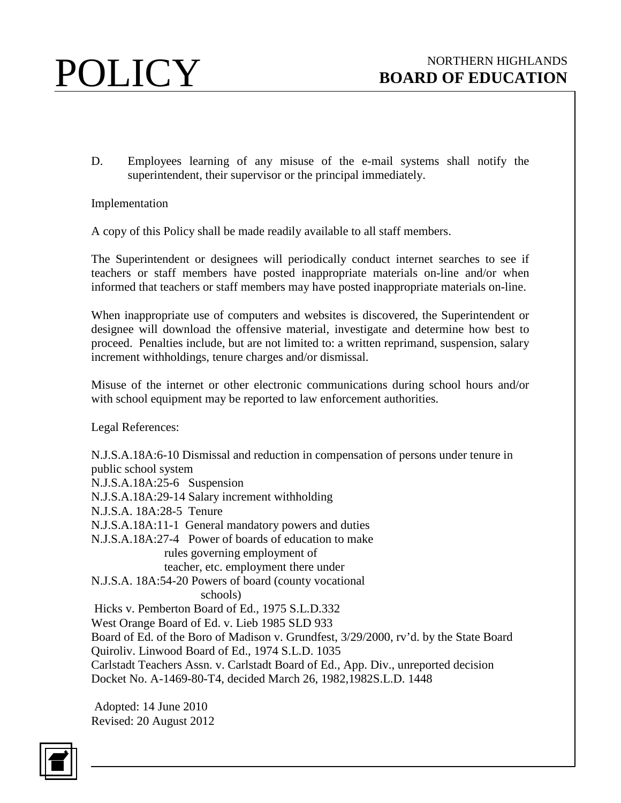

D. Employees learning of any misuse of the e-mail systems shall notify the superintendent, their supervisor or the principal immediately.

Implementation

A copy of this Policy shall be made readily available to all staff members.

The Superintendent or designees will periodically conduct internet searches to see if teachers or staff members have posted inappropriate materials on-line and/or when informed that teachers or staff members may have posted inappropriate materials on-line.

When inappropriate use of computers and websites is discovered, the Superintendent or designee will download the offensive material, investigate and determine how best to proceed. Penalties include, but are not limited to: a written reprimand, suspension, salary increment withholdings, tenure charges and/or dismissal.

Misuse of the internet or other electronic communications during school hours and/or with school equipment may be reported to law enforcement authorities.

Legal References:

N.J.S.A.18A:6-10 Dismissal and reduction in compensation of persons under tenure in public school system N.J.S.A.18A:25-6 Suspension N.J.S.A.18A:29-14 Salary increment withholding N.J.S.A. 18A:28-5 Tenure N.J.S.A.18A:11-1 General mandatory powers and duties N.J.S.A.18A:27-4 Power of boards of education to make rules governing employment of teacher, etc. employment there under N.J.S.A. 18A:54-20 Powers of board (county vocational schools) Hicks v. Pemberton Board of Ed., 1975 S.L.D.332 West Orange Board of Ed. v. Lieb 1985 SLD 933 Board of Ed. of the Boro of Madison v. Grundfest, 3/29/2000, rv'd. by the State Board Quiroliv. Linwood Board of Ed., 1974 S.L.D. 1035 Carlstadt Teachers Assn. v. Carlstadt Board of Ed., App. Div., unreported decision Docket No. A-1469-80-T4, decided March 26, 1982,1982S.L.D. 1448

Adopted: 14 June 2010 Revised: 20 August 2012